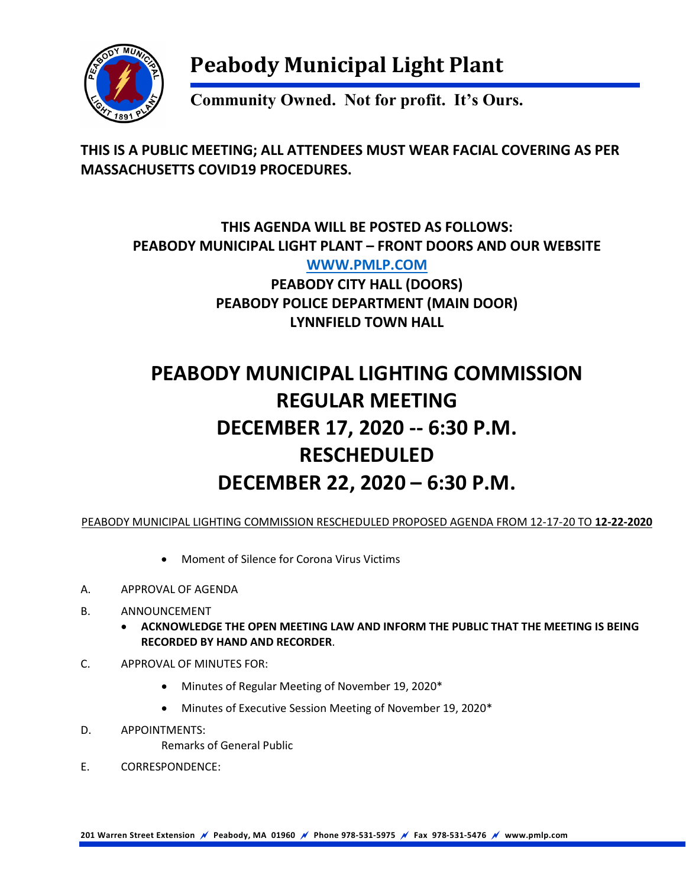

## **Peabody Municipal Light Plant**

**Community Owned. Not for profit. It's Ours.**

**THIS IS A PUBLIC MEETING; ALL ATTENDEES MUST WEAR FACIAL COVERING AS PER MASSACHUSETTS COVID19 PROCEDURES.** 

#### **THIS AGENDA WILL BE POSTED AS FOLLOWS: PEABODY MUNICIPAL LIGHT PLANT – FRONT DOORS AND OUR WEBSITE [WWW.PMLP.COM](http://www.pmlp.com/) PEABODY CITY HALL (DOORS) PEABODY POLICE DEPARTMENT (MAIN DOOR) LYNNFIELD TOWN HALL**

## **PEABODY MUNICIPAL LIGHTING COMMISSION REGULAR MEETING DECEMBER 17, 2020 -- 6:30 P.M. RESCHEDULED DECEMBER 22, 2020 – 6:30 P.M.**

PEABODY MUNICIPAL LIGHTING COMMISSION RESCHEDULED PROPOSED AGENDA FROM 12-17-20 TO **12-22-2020**

- Moment of Silence for Corona Virus Victims
- A. APPROVAL OF AGENDA
- B. ANNOUNCEMENT
	- **ACKNOWLEDGE THE OPEN MEETING LAW AND INFORM THE PUBLIC THAT THE MEETING IS BEING RECORDED BY HAND AND RECORDER**.
- C. APPROVAL OF MINUTES FOR:
	- Minutes of Regular Meeting of November 19, 2020\*
	- Minutes of Executive Session Meeting of November 19, 2020\*
- D. APPOINTMENTS:

Remarks of General Public

E. CORRESPONDENCE:

**201 Warren Street Extension Peabody, MA 01960 Phone 978-531-5975 Fax 978-531-5476 www.pmlp.com**